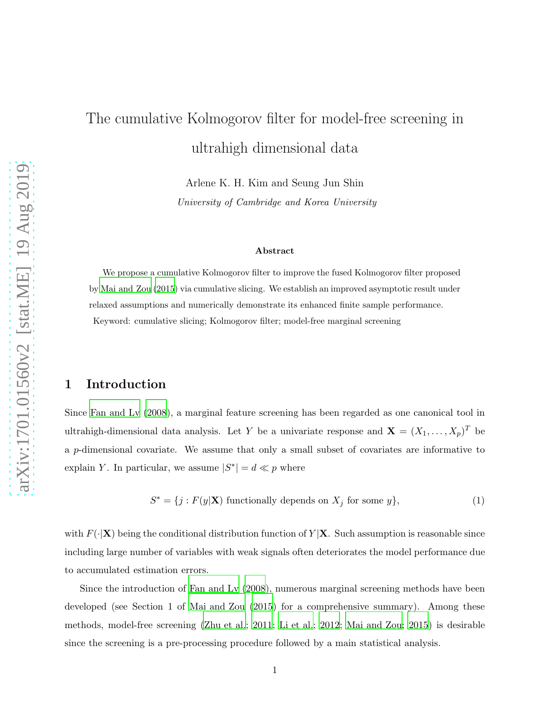# The cumulative Kolmogorov filter for model-free screening in ultrahigh dimensional data

Arlene K. H. Kim and Seung Jun Shin

*University of Cambridge and Korea University*

#### Abstract

We propose a cumulative Kolmogorov filter to improve the fused Kolmogorov filter proposed by [Mai and Zou \(2015\)](#page-6-0) via cumulative slicing. We establish an improved asymptotic result under relaxed assumptions and numerically demonstrate its enhanced finite sample performance. Keyword: cumulative slicing; Kolmogorov filter; model-free marginal screening

## 1 Introduction

Since [Fan and Lv \(2008](#page-6-1)), a marginal feature screening has been regarded as one canonical tool in ultrahigh-dimensional data analysis. Let Y be a univariate response and  $\mathbf{X} = (X_1, \ldots, X_p)^T$  be a p-dimensional covariate. We assume that only a small subset of covariates are informative to explain Y. In particular, we assume  $|S^*| = d \ll p$  where

$$
S^* = \{j : F(y|\mathbf{X}) \text{ functionally depends on } X_j \text{ for some } y\},\tag{1}
$$

with  $F(\cdot|\mathbf{X})$  being the conditional distribution function of  $Y|\mathbf{X}$ . Such assumption is reasonable since including large number of variables with weak signals often deteriorates the model performance due to accumulated estimation errors.

Since the introduction of [Fan and Lv \(2008](#page-6-1)), numerous marginal screening methods have been developed (see Section 1 of Mai and Zou  $(2015)$  for a comprehensive summary). Among these methods, model-free screening [\(Zhu et al.; 2011](#page-6-2); [Li et al.; 2012](#page-6-3); [Mai and Zou; 2015](#page-6-0)) is desirable since the screening is a pre-processing procedure followed by a main statistical analysis.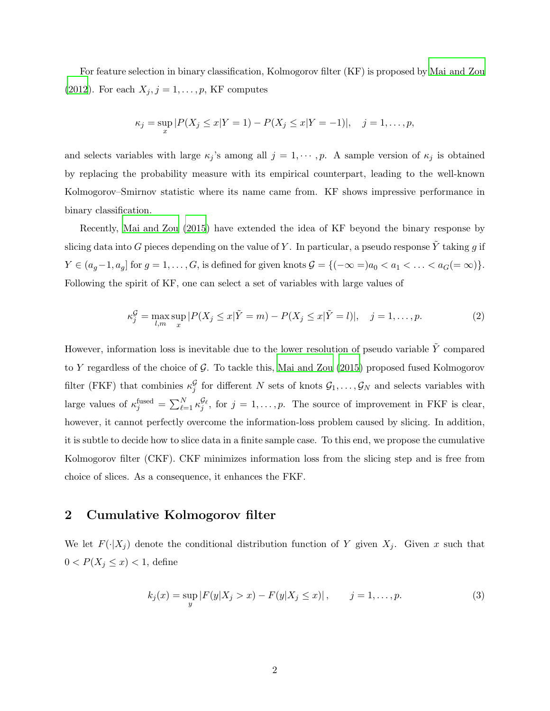For feature selection in binary classification, Kolmogorov filter (KF) is proposed by [Mai and Zou](#page-6-4) [\(2012](#page-6-4)). For each  $X_j$ ,  $j = 1, \ldots, p$ , KF computes

$$
\kappa_j = \sup_x |P(X_j \le x | Y = 1) - P(X_j \le x | Y = -1)|, \quad j = 1, \dots, p,
$$

and selects variables with large  $\kappa_j$ 's among all  $j = 1, \dots, p$ . A sample version of  $\kappa_j$  is obtained by replacing the probability measure with its empirical counterpart, leading to the well-known Kolmogorov–Smirnov statistic where its name came from. KF shows impressive performance in binary classification.

Recently, [Mai and Zou \(2015](#page-6-0)) have extended the idea of KF beyond the binary response by slicing data into G pieces depending on the value of Y. In particular, a pseudo response Y taking g if  $Y \in (a_g-1, a_g]$  for  $g = 1, \ldots, G$ , is defined for given knots  $\mathcal{G} = \{(-\infty =)a_0 < a_1 < \ldots < a_G (= \infty)\}.$ Following the spirit of KF, one can select a set of variables with large values of

<span id="page-1-1"></span>
$$
\kappa_j^{\mathcal{G}} = \max_{l,m} \sup_x |P(X_j \le x | \tilde{Y} = m) - P(X_j \le x | \tilde{Y} = l)|, \quad j = 1, \dots, p. \tag{2}
$$

However, information loss is inevitable due to the lower resolution of pseudo variable  $\tilde{Y}$  compared to Y regardless of the choice of  $G$ . To tackle this, [Mai and Zou \(2015](#page-6-0)) proposed fused Kolmogorov filter (FKF) that combinies  $\kappa_j^{\mathcal{G}}$  for different N sets of knots  $\mathcal{G}_1,\ldots,\mathcal{G}_N$  and selects variables with large values of  $\kappa_j^{\text{fused}} = \sum_{\ell=1}^N \kappa_j^{\mathcal{G}_\ell}$ , for  $j = 1, \ldots, p$ . The source of improvement in FKF is clear, however, it cannot perfectly overcome the information-loss problem caused by slicing. In addition, it is subtle to decide how to slice data in a finite sample case. To this end, we propose the cumulative Kolmogorov filter (CKF). CKF minimizes information loss from the slicing step and is free from choice of slices. As a consequence, it enhances the FKF.

## 2 Cumulative Kolmogorov filter

We let  $F(\cdot|X_j)$  denote the conditional distribution function of Y given  $X_j$ . Given x such that  $0 < P(X_j \leq x) < 1$ , define

<span id="page-1-0"></span>
$$
k_j(x) = \sup_{y} |F(y|X_j > x) - F(y|X_j \le x)|, \qquad j = 1, ..., p.
$$
 (3)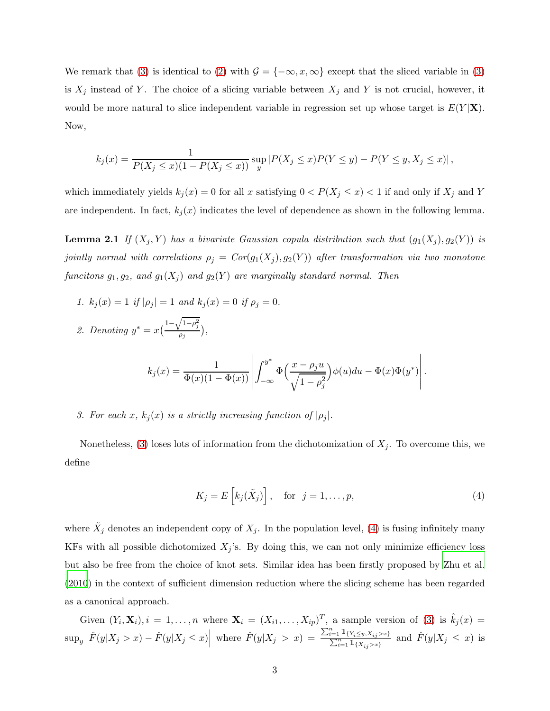We remark that [\(3\)](#page-1-0) is identical to [\(2\)](#page-1-1) with  $\mathcal{G} = \{-\infty, x, \infty\}$  except that the sliced variable in (3) is  $X_j$  instead of Y. The choice of a slicing variable between  $X_j$  and Y is not crucial, however, it would be more natural to slice independent variable in regression set up whose target is  $E(Y|\mathbf{X})$ . Now,

$$
k_j(x) = \frac{1}{P(X_j \le x)(1 - P(X_j \le x))} \sup_y |P(X_j \le x)P(Y \le y) - P(Y \le y, X_j \le x)|,
$$

<span id="page-2-1"></span>which immediately yields  $k_j(x) = 0$  for all x satisfying  $0 < P(X_j \leq x) < 1$  if and only if  $X_j$  and Y are independent. In fact,  $k_j(x)$  indicates the level of dependence as shown in the following lemma.

**Lemma 2.1** *If*  $(X_j, Y)$  *has a bivariate Gaussian copula distribution such that*  $(g_1(X_j), g_2(Y))$  *is jointly normal with correlations*  $\rho_j = Cor(g_1(X_j), g_2(Y))$  *after transformation via two monotone funcitons*  $g_1, g_2$ *, and*  $g_1(X_j)$  *and*  $g_2(Y)$  *are marginally standard normal. Then* 

*1.*  $k_j(x) = 1$  *if*  $|\rho_j| = 1$  *and*  $k_j(x) = 0$  *if*  $\rho_j = 0$ *.* 2. Denoting  $y^* = x \left( \frac{1 - \sqrt{1 - \rho_j^2}}{a_j} \right)$  $\frac{r-r_j}{\rho_j},$ 

$$
k_j(x) = \frac{1}{\Phi(x)(1 - \Phi(x))} \left| \int_{-\infty}^{y^*} \Phi\left(\frac{x - \rho_j u}{\sqrt{1 - \rho_j^2}}\right) \phi(u) du - \Phi(x) \Phi(y^*) \right|.
$$

*3. For each* x,  $k_j(x)$  *is a strictly increasing function of*  $|\rho_j|$ *.* 

Nonetheless, [\(3\)](#page-1-0) loses lots of information from the dichotomization of  $X_j$ . To overcome this, we define

<span id="page-2-0"></span>
$$
K_j = E\left[k_j(\tilde{X}_j)\right], \quad \text{for} \quad j = 1, \dots, p,
$$
\n<sup>(4)</sup>

where  $\tilde{X}_j$  denotes an independent copy of  $X_j$ . In the population level, [\(4\)](#page-2-0) is fusing infinitely many KFs with all possible dichotomized  $X_j$ 's. By doing this, we can not only minimize efficiency loss but also be free from the choice of knot sets. Similar idea has been firstly proposed by [Zhu et al.](#page-6-5) [\(2010](#page-6-5)) in the context of sufficient dimension reduction where the slicing scheme has been regarded as a canonical approach.

Given  $(Y_i, \mathbf{X}_i)$ ,  $i = 1, \ldots, n$  where  $\mathbf{X}_i = (X_{i1}, \ldots, X_{ip})^T$ , a sample version of [\(3\)](#page-1-0) is  $\hat{k}_j(x) =$  $\sup_y \left| \hat{F}(y|X_j > x) - \hat{F}(y|X_j \leq x) \right|$  where  $\hat{F}(y|X_j > x) = \frac{\sum_{i=1}^n \mathbb{1}_{\{Y_i \leq y, X_{ij} > x\}}}{\sum_{i=1}^n \mathbb{1}_{\{X_{ij} > x\}}}$  and  $\hat{F}(y|X_j \leq x)$  is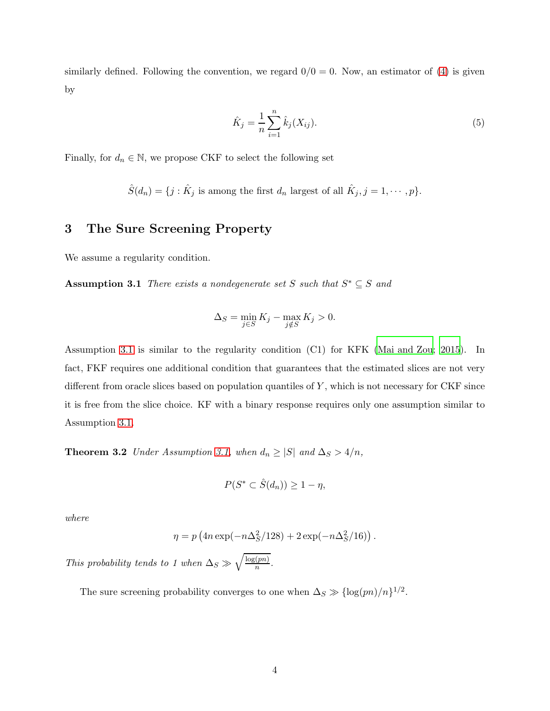similarly defined. Following the convention, we regard  $0/0 = 0$ . Now, an estimator of [\(4\)](#page-2-0) is given by

<span id="page-3-1"></span>
$$
\hat{K}_j = \frac{1}{n} \sum_{i=1}^n \hat{k}_j(X_{ij}).
$$
\n(5)

Finally, for  $d_n\in\mathbb{N},$  we propose CKF to select the following set

$$
\hat{S}(d_n) = \{j : \hat{K}_j \text{ is among the first } d_n \text{ largest of all } \hat{K}_j, j = 1, \cdots, p\}.
$$

# 3 The Sure Screening Property

We assume a regularity condition.

**Assumption 3.1** *There exists a nondegenerate set* S *such that*  $S^* \subseteq S$  *and* 

<span id="page-3-0"></span>
$$
\Delta_S = \min_{j \in S} K_j - \max_{j \notin S} K_j > 0.
$$

Assumption [3.1](#page-3-0) is similar to the regularity condition (C1) for KFK [\(Mai and Zou](#page-6-0); [2015](#page-6-0)). In fact, FKF requires one additional condition that guarantees that the estimated slices are not very different from oracle slices based on population quantiles of  $Y$ , which is not necessary for CKF since it is free from the slice choice. KF with a binary response requires only one assumption similar to Assumption [3.1.](#page-3-0)

<span id="page-3-2"></span>**Theorem 3.2** *Under Assumption [3.1,](#page-3-0) when*  $d_n \geq |S|$  *and*  $\Delta_S > 4/n$ *,* 

$$
P(S^* \subset \hat{S}(d_n)) \ge 1 - \eta,
$$

*where*

$$
\eta = p \left( 4n \exp(-n \Delta_S^2/128) + 2 \exp(-n \Delta_S^2/16) \right).
$$

*This probability tends to 1 when*  $\Delta_S \gg \sqrt{\frac{\log(pn)}{n}}$  $\frac{(pn)}{n}$ .

The sure screening probability converges to one when  $\Delta_S \gg {\log(pn)}/{n}^{1/2}$ .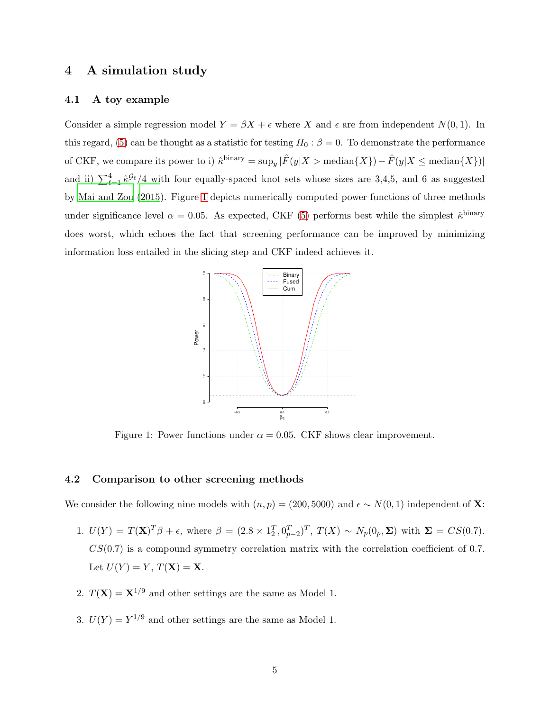## 4 A simulation study

#### 4.1 A toy example

Consider a simple regression model  $Y = \beta X + \epsilon$  where X and  $\epsilon$  are from independent  $N(0, 1)$ . In this regard, [\(5\)](#page-3-1) can be thought as a statistic for testing  $H_0$ :  $\beta = 0$ . To demonstrate the performance of CKF, we compare its power to i)  $\hat{\kappa}^{\text{binary}} = \sup_y |\hat{F}(y|X > \text{median}\{X\}) - \hat{F}(y|X \le \text{median}\{X\})|$ and ii)  $\sum_{\ell=1}^4 \hat{\kappa}^{\mathcal{G}_{\ell}}/4$  with four equally-spaced knot sets whose sizes are 3,4,5, and 6 as suggested by [Mai and Zou \(2015](#page-6-0)). Figure [1](#page-4-0) depicts numerically computed power functions of three methods under significance level  $\alpha = 0.05$ . As expected, CKF [\(5\)](#page-3-1) performs best while the simplest  $\hat{\kappa}^{\text{binary}}$ does worst, which echoes the fact that screening performance can be improved by minimizing information loss entailed in the slicing step and CKF indeed achieves it.

<span id="page-4-0"></span>

Figure 1: Power functions under  $\alpha = 0.05$ . CKF shows clear improvement.

### 4.2 Comparison to other screening methods

We consider the following nine models with  $(n, p) = (200, 5000)$  and  $\epsilon \sim N(0, 1)$  independent of X:

- 1.  $U(Y) = T(X)^{T} \beta + \epsilon$ , where  $\beta = (2.8 \times 1_{2}^{T}, 0_{p-2}^{T})^{T}$ ,  $T(X) \sim N_{p}(0_{p}, \Sigma)$  with  $\Sigma = CS(0.7)$ .  $CS(0.7)$  is a compound symmetry correlation matrix with the correlation coefficient of 0.7. Let  $U(Y) = Y$ ,  $T(\mathbf{X}) = \mathbf{X}$ .
- 2.  $T(\mathbf{X}) = \mathbf{X}^{1/9}$  and other settings are the same as Model 1.
- 3.  $U(Y) = Y^{1/9}$  and other settings are the same as Model 1.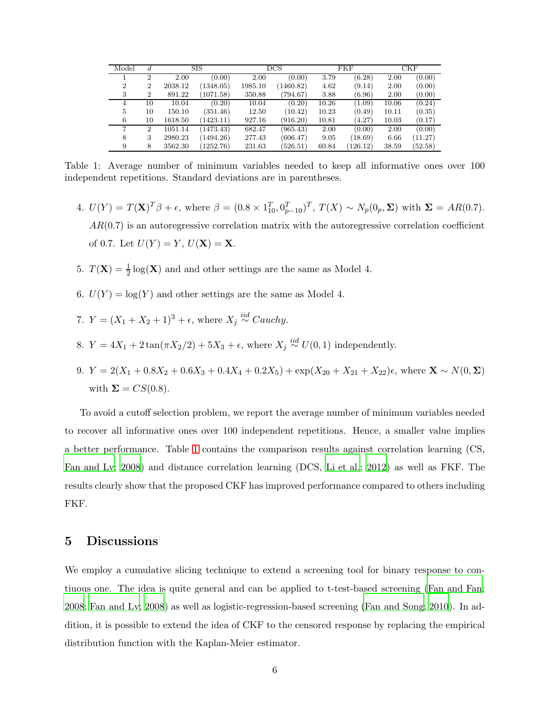<span id="page-5-0"></span>

| Model          |                | <b>SIS</b> |           | $_{\rm DCS}$ |           | FKF   |          | CKF   |         |
|----------------|----------------|------------|-----------|--------------|-----------|-------|----------|-------|---------|
|                | $\mathfrak{D}$ | 2.00       | (0.00)    | 2.00         | (0.00)    | 3.79  | (6.28)   | 2.00  | (0.00)  |
| $\overline{2}$ | $\overline{2}$ | 2038.12    | (1348.05) | 1985.10      | (1460.82) | 4.62  | (9.14)   | 2.00  | (0.00)  |
| 3              | 2              | 891.22     | (1071.58) | 350.88       | (794.67)  | 3.88  | (6.96)   | 2.00  | (0.00)  |
| 4              | 10             | 10.04      | (0.20)    | 10.04        | (0.20)    | 10.26 | (1.09)   | 10.06 | (0.24)  |
| 5              | 10             | 150.10     | (351.46)  | 12.50        | (10.42)   | 10.23 | (0.49)   | 10.11 | (0.35)  |
| 6              | 10             | 1618.50    | (1423.11) | 927.16       | (916.20)  | 10.81 | (4.27)   | 10.03 | (0.17)  |
|                | $\overline{2}$ | 1051.14    | (1473.43) | 682.47       | (965.43)  | 2.00  | (0.00)   | 2.00  | (0.00)  |
| 8              | 3              | 2980.23    | (1494.26) | 277.43       | (606.47)  | 9.05  | (18.69)  | 6.66  | (11.27) |
| 9              | 8              | 3562.30    | (1252.76) | 231.63       | (526.51)  | 60.84 | (126.12) | 38.59 | (52.58) |

Table 1: Average number of minimum variables needed to keep all informative ones over 100 independent repetitions. Standard deviations are in parentheses.

- 4.  $U(Y) = T(X)^{T} \beta + \epsilon$ , where  $\beta = (0.8 \times 1_{10}^{T}, 0_{p-10}^{T})^{T}$ ,  $T(X) \sim N_{p}(0_{p}, \Sigma)$  with  $\Sigma = AR(0.7)$ .  $AR(0.7)$  is an autoregressive correlation matrix with the autoregressive correlation coefficient of 0.7. Let  $U(Y) = Y, U(X) = X$ .
- 5.  $T(\mathbf{X}) = \frac{1}{2} \log(\mathbf{X})$  and and other settings are the same as Model 4.
- 6.  $U(Y) = \log(Y)$  and other settings are the same as Model 4.
- 7.  $Y = (X_1 + X_2 + 1)^3 + \epsilon$ , where  $X_j \stackrel{iid}{\sim} Cauchy$ .
- 8.  $Y = 4X_1 + 2\tan(\pi X_2/2) + 5X_3 + \epsilon$ , where  $X_j \stackrel{iid}{\sim} U(0, 1)$  independently.
- 9.  $Y = 2(X_1 + 0.8X_2 + 0.6X_3 + 0.4X_4 + 0.2X_5) + \exp(X_{20} + X_{21} + X_{22})\epsilon$ , where  $\mathbf{X} \sim N(0, \Sigma)$ with  $\Sigma = CS(0.8)$ .

To avoid a cutoff selection problem, we report the average number of minimum variables needed to recover all informative ones over 100 independent repetitions. Hence, a smaller value implies a better performance. Table [1](#page-5-0) contains the comparison results against correlation learning (CS, [Fan and Lv](#page-6-1); [2008](#page-6-1)) and distance correlation learning (DCS, Li [et al.](#page-6-3); [2012](#page-6-3)) as well as FKF. The results clearly show that the proposed CKF has improved performance compared to others including FKF.

## 5 Discussions

We employ a cumulative slicing technique to extend a screening tool for binary response to contiuous one. The idea is quite general and can be applied to t-test-based screening [\(Fan and Fan;](#page-6-6) [2008;](#page-6-6) [Fan and Lv](#page-6-1); [2008](#page-6-1)) as well as logistic-regression-based screening [\(Fan and Song; 2010\)](#page-6-7). In addition, it is possible to extend the idea of CKF to the censored response by replacing the empirical distribution function with the Kaplan-Meier estimator.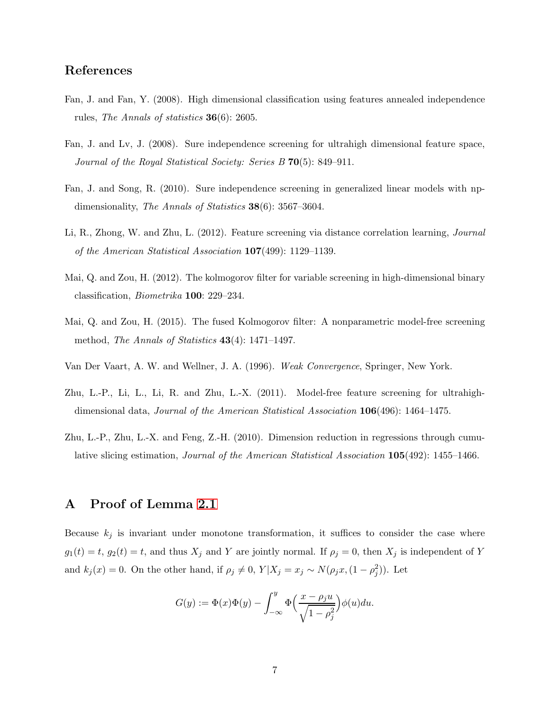# References

- <span id="page-6-6"></span>Fan, J. and Fan, Y. (2008). High dimensional classification using features annealed independence rules, *The Annals of statistics* 36(6): 2605.
- <span id="page-6-1"></span>Fan, J. and Lv, J. (2008). Sure independence screening for ultrahigh dimensional feature space, *Journal of the Royal Statistical Society: Series B* 70(5): 849–911.
- <span id="page-6-7"></span>Fan, J. and Song, R. (2010). Sure independence screening in generalized linear models with npdimensionality, *The Annals of Statistics* 38(6): 3567–3604.
- <span id="page-6-3"></span>Li, R., Zhong, W. and Zhu, L. (2012). Feature screening via distance correlation learning, *Journal of the American Statistical Association* 107(499): 1129–1139.
- <span id="page-6-4"></span>Mai, Q. and Zou, H. (2012). The kolmogorov filter for variable screening in high-dimensional binary classification, *Biometrika* 100: 229–234.
- <span id="page-6-0"></span>Mai, Q. and Zou, H. (2015). The fused Kolmogorov filter: A nonparametric model-free screening method, *The Annals of Statistics* 43(4): 1471–1497.
- <span id="page-6-8"></span>Van Der Vaart, A. W. and Wellner, J. A. (1996). *Weak Convergence*, Springer, New York.
- <span id="page-6-2"></span>Zhu, L.-P., Li, L., Li, R. and Zhu, L.-X. (2011). Model-free feature screening for ultrahighdimensional data, *Journal of the American Statistical Association* 106(496): 1464–1475.
- <span id="page-6-5"></span>Zhu, L.-P., Zhu, L.-X. and Feng, Z.-H. (2010). Dimension reduction in regressions through cumulative slicing estimation, *Journal of the American Statistical Association* 105(492): 1455–1466.

# A Proof of Lemma [2.1](#page-2-1)

Because  $k_j$  is invariant under monotone transformation, it suffices to consider the case where  $g_1(t) = t$ ,  $g_2(t) = t$ , and thus  $X_j$  and Y are jointly normal. If  $\rho_j = 0$ , then  $X_j$  is independent of Y and  $k_j(x) = 0$ . On the other hand, if  $\rho_j \neq 0$ ,  $Y | X_j = x_j \sim N(\rho_j x, (1 - \rho_j^2))$ . Let

$$
G(y) := \Phi(x)\Phi(y) - \int_{-\infty}^{y} \Phi\left(\frac{x - \rho_j u}{\sqrt{1 - \rho_j^2}}\right) \phi(u) du.
$$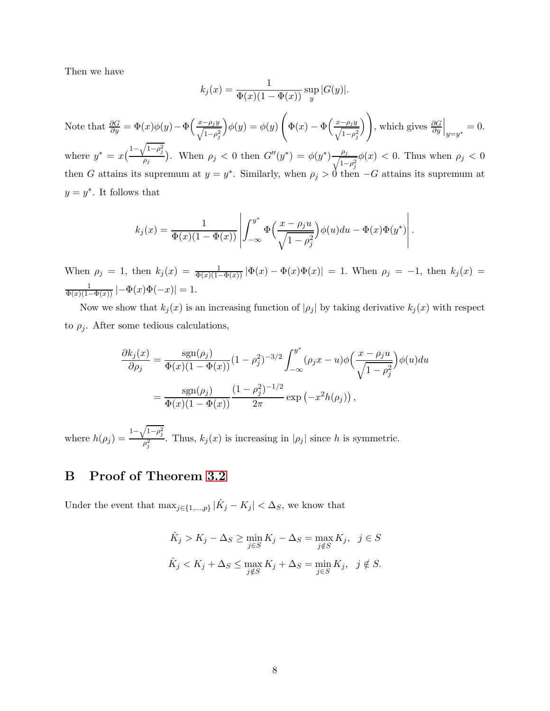Then we have

$$
k_j(x) = \frac{1}{\Phi(x)(1 - \Phi(x))} \sup_y |G(y)|.
$$

Note that  $\frac{\partial G}{\partial y} = \Phi(x)\phi(y) - \Phi\left(\frac{x-\rho_j y}{\sqrt{1-\rho_j^2}}\right)$  $\bigg) \phi(y) = \phi(y)$  $\sqrt{ }$  $\Phi(x)-\Phi\left(\frac{x-\rho_jy}{\sqrt{1-\rho_j^2}}\right)$  $\setminus$ , which gives  $\frac{\partial G}{\partial y}\Big|_{y=y^*}=0.$ where  $y^* = x\left(\frac{1-\sqrt{1-\rho_j^2}}{a_j}\right)$  $\frac{\rho_j}{\rho_j}$ . When  $\rho_j < 0$  then  $G''(y^*) = \phi(y^*) \frac{\rho_j}{\sqrt{1-\rho_j}}$  $\frac{\rho_j}{1-\rho_j^2}\phi(x) < 0$ . Thus when  $\rho_j < 0$ then G attains its supremum at  $y = y^*$ . Similarly, when  $\rho_j > 0$  then  $-G$  attains its supremum at  $y = y^*$ . It follows that

$$
k_j(x) = \frac{1}{\Phi(x)(1 - \Phi(x))} \left| \int_{-\infty}^{y^*} \Phi\left(\frac{x - \rho_j u}{\sqrt{1 - \rho_j^2}}\right) \phi(u) du - \Phi(x) \Phi(y^*) \right|.
$$

When  $\rho_j = 1$ , then  $k_j(x) = \frac{1}{\Phi(x)(1-\Phi(x))} |\Phi(x) - \Phi(x)\Phi(x)| = 1$ . When  $\rho_j = -1$ , then  $k_j(x) =$  $\frac{1}{\Phi(x)(1-\Phi(x))}$   $\left| -\Phi(x)\Phi(-x) \right| = 1.$ 

Now we show that  $k_j(x)$  is an increasing function of  $|\rho_j|$  by taking derivative  $k_j(x)$  with respect to  $\rho_i$ . After some tedious calculations,

$$
\frac{\partial k_j(x)}{\partial \rho_j} = \frac{\text{sgn}(\rho_j)}{\Phi(x)(1 - \Phi(x))} (1 - \rho_j^2)^{-3/2} \int_{-\infty}^{y^*} (\rho_j x - u) \phi\left(\frac{x - \rho_j u}{\sqrt{1 - \rho_j^2}}\right) \phi(u) du
$$

$$
= \frac{\text{sgn}(\rho_j)}{\Phi(x)(1 - \Phi(x))} \frac{(1 - \rho_j^2)^{-1/2}}{2\pi} \exp(-x^2 h(\rho_j)),
$$

where  $h(\rho_j) = \frac{1 - \sqrt{1 - \rho_j^2}}{2}$  $\frac{p_j}{p_j^2}$ . Thus,  $k_j(x)$  is increasing in  $|p_j|$  since h is symmetric.

# B Proof of Theorem [3.2](#page-3-2)

Under the event that  $\max_{j \in \{1, ..., p\}} |\hat{K}_j - K_j| < \Delta_S$ , we know that

$$
\hat{K}_j > K_j - \Delta_S \ge \min_{j \in S} K_j - \Delta_S = \max_{j \notin S} K_j, \quad j \in S
$$
  

$$
\hat{K}_j < K_j + \Delta_S \le \max_{j \notin S} K_j + \Delta_S = \min_{j \in S} K_j, \quad j \notin S.
$$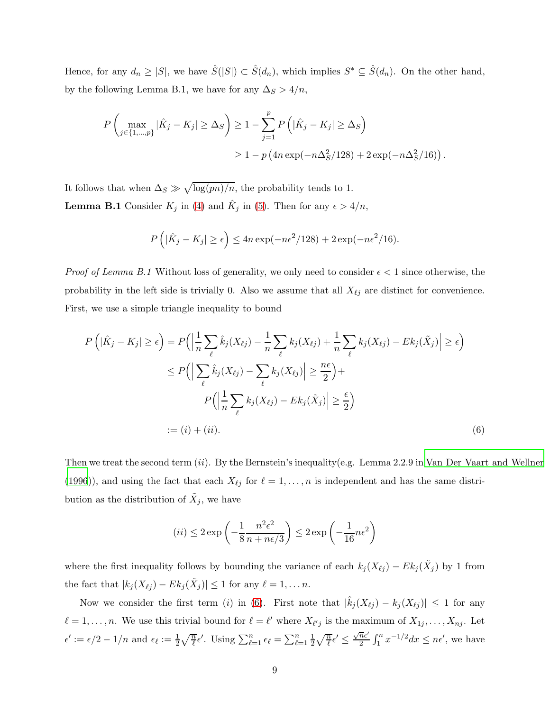Hence, for any  $d_n \geq |S|$ , we have  $\hat{S}(|S|) \subset \hat{S}(d_n)$ , which implies  $S^* \subseteq \hat{S}(d_n)$ . On the other hand, by the following Lemma B.1, we have for any  $\Delta_S > 4/n$ ,

$$
P\left(\max_{j\in\{1,\dots,p\}}|\hat{K}_j - K_j| \ge \Delta_S\right) \ge 1 - \sum_{j=1}^p P\left(|\hat{K}_j - K_j| \ge \Delta_S\right)
$$
  
 
$$
\ge 1 - p\left(4n\exp(-n\Delta_S^2/128) + 2\exp(-n\Delta_S^2/16)\right).
$$

It follows that when  $\Delta_S \gg \sqrt{\log(m)/n}$ , the probability tends to 1. **Lemma B.1** Consider  $K_j$  in [\(4\)](#page-2-0) and  $\hat{K}_j$  in [\(5\)](#page-3-1). Then for any  $\epsilon > 4/n$ ,

$$
P\left(|\hat{K}_j - K_j| \ge \epsilon\right) \le 4n\exp(-n\epsilon^2/128) + 2\exp(-n\epsilon^2/16).
$$

*Proof of Lemma B.1* Without loss of generality, we only need to consider  $\epsilon < 1$  since otherwise, the probability in the left side is trivially 0. Also we assume that all  $X_{\ell j}$  are distinct for convenience. First, we use a simple triangle inequality to bound

$$
P\left(|\hat{K}_j - K_j| \ge \epsilon\right) = P\left(\left|\frac{1}{n}\sum_{\ell} \hat{k}_j(X_{\ell j}) - \frac{1}{n}\sum_{\ell} k_j(X_{\ell j}) + \frac{1}{n}\sum_{\ell} k_j(X_{\ell j}) - Ek_j(\tilde{X}_j)\right| \ge \epsilon\right)
$$
  

$$
\le P\left(\left|\sum_{\ell} \hat{k}_j(X_{\ell j}) - \sum_{\ell} k_j(X_{\ell j})\right| \ge \frac{n\epsilon}{2}\right) +
$$
  

$$
P\left(\left|\frac{1}{n}\sum_{\ell} k_j(X_{\ell j}) - Ek_j(\tilde{X}_j)\right| \ge \frac{\epsilon}{2}\right)
$$
  

$$
:= (i) + (ii).
$$
 (6)

Then we treat the second term  $(ii)$ . By the Bernstein's inequality(e.g. Lemma 2.2.9 in Van Der [Vaart and Wellner](#page-6-8) [\(1996](#page-6-8))), and using the fact that each  $X_{\ell j}$  for  $\ell = 1, \ldots, n$  is independent and has the same distribution as the distribution of  $\tilde{X}_j$ , we have

<span id="page-8-0"></span>
$$
(ii) \le 2 \exp\left(-\frac{1}{8} \frac{n^2 \epsilon^2}{n + n\epsilon/3}\right) \le 2 \exp\left(-\frac{1}{16} n\epsilon^2\right)
$$

where the first inequality follows by bounding the variance of each  $k_j (X_{\ell j}) - E k_j (\tilde{X}_j)$  by 1 from the fact that  $|k_j(X_{\ell j}) - Ek_j(\tilde{X}_j)| \leq 1$  for any  $\ell = 1, ..., n$ .

Now we consider the first term (i) in [\(6\)](#page-8-0). First note that  $|\hat{k}_j(X_{\ell j}) - k_j(X_{\ell j})| \leq 1$  for any  $\ell = 1, \ldots, n$ . We use this trivial bound for  $\ell = \ell'$  where  $X_{\ell'j}$  is the maximum of  $X_{1j}, \ldots, X_{nj}$ . Let  $\epsilon' := \epsilon/2 - 1/n$  and  $\epsilon_{\ell} := \frac{1}{2} \sqrt{\frac{n}{\ell}} \epsilon'$ . Using  $\sum_{\ell=1}^{n} \epsilon_{\ell} = \sum_{\ell=1}^{n} \frac{1}{2}$  $\frac{1}{2}\sqrt{\frac{n}{\ell}}\epsilon' \leq \frac{\sqrt{n}\epsilon'}{2}$  $\frac{\overline{n}\epsilon'}{2} \int_1^n x^{-1/2} dx \leq n\epsilon'$ , we have